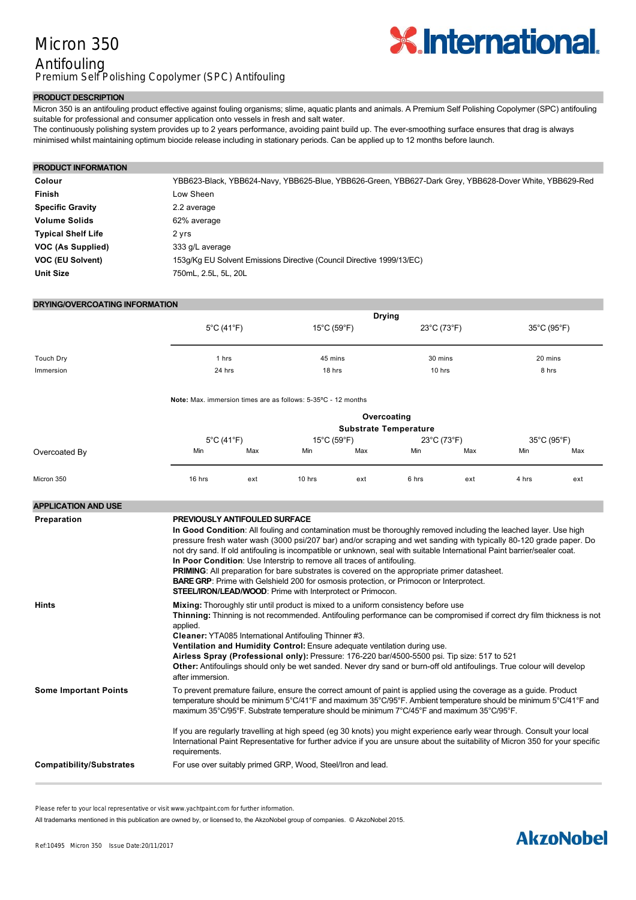## Micron 350 Antifouling Premium Self Polishing Copolymer (SPC) Antifouling



### **PRODUCT DESCRIPTION**

Micron 350 is an antifouling product effective against fouling organisms; slime, aquatic plants and animals. A Premium Self Polishing Copolymer (SPC) antifouling suitable for professional and consumer application onto vessels in fresh and salt water.

The continuously polishing system provides up to 2 years performance, avoiding paint build up. The eversmoothing surface ensures that drag is always minimised whilst maintaining optimum biocide release including in stationary periods. Can be applied up to 12 months before launch.

| <b>PRODUCT INFORMATION</b> |                                                                                                        |
|----------------------------|--------------------------------------------------------------------------------------------------------|
| Colour                     | YBB623-Black, YBB624-Navy, YBB625-Blue, YBB626-Green, YBB627-Dark Grey, YBB628-Dover White, YBB629-Red |
| <b>Finish</b>              | Low Sheen                                                                                              |
| <b>Specific Gravity</b>    | 2.2 average                                                                                            |
| <b>Volume Solids</b>       | 62% average                                                                                            |
| <b>Typical Shelf Life</b>  | 2 yrs                                                                                                  |
| VOC (As Supplied)          | 333 g/L average                                                                                        |
| VOC (EU Solvent)           | 153g/Kg EU Solvent Emissions Directive (Council Directive 1999/13/EC)                                  |
| <b>Unit Size</b>           | 750mL, 2.5L, 5L, 20L                                                                                   |

### **DRYING/OVERCOATING INFORMATION**

|           | <b>Drying</b>                   |                                  |             |             |
|-----------|---------------------------------|----------------------------------|-------------|-------------|
|           | $5^{\circ}$ C (41 $^{\circ}$ F) | $15^{\circ}$ C (59 $^{\circ}$ F) | 23°C (73°F) | 35°C (95°F) |
|           |                                 |                                  |             |             |
|           | 1 hrs                           | 45 mins                          | 30 mins     | 20 mins     |
| Touch Dry |                                 |                                  |             |             |
| Immersion | 24 hrs                          | 18 hrs                           | 10 hrs      | 8 hrs       |

**Note:** Max. immersion times are as follows: 5-35°C - 12 months

|               |                                 |     |                                  | Overcoating | <b>Substrate Temperature</b> |     |             |     |
|---------------|---------------------------------|-----|----------------------------------|-------------|------------------------------|-----|-------------|-----|
|               | $5^{\circ}$ C (41 $^{\circ}$ F) |     | $15^{\circ}$ C (59 $^{\circ}$ F) |             | 23°C (73°F)                  |     | 35°C (95°F) |     |
| Overcoated By | Min                             | Max | Min                              | Max         | Min                          | Max | Min         | Max |
| Micron 350    | 16 hrs                          | ext | 10 hrs                           | ext         | 6 hrs                        | ext | 4 hrs       | ext |

| <b>APPLICATION AND USE</b>   |                                                                                                                                                                                                                                                                                                                                                                                                                                                                                                                                                                                                                                                                                                                                                              |
|------------------------------|--------------------------------------------------------------------------------------------------------------------------------------------------------------------------------------------------------------------------------------------------------------------------------------------------------------------------------------------------------------------------------------------------------------------------------------------------------------------------------------------------------------------------------------------------------------------------------------------------------------------------------------------------------------------------------------------------------------------------------------------------------------|
| Preparation                  | <b>PREVIOUSLY ANTIFOULED SURFACE</b><br>In Good Condition: All fouling and contamination must be thoroughly removed including the leached layer. Use high<br>pressure fresh water wash (3000 psi/207 bar) and/or scraping and wet sanding with typically 80-120 grade paper. Do<br>not dry sand. If old antifouling is incompatible or unknown, seal with suitable International Paint barrier/sealer coat.<br>In Poor Condition: Use Interstrip to remove all traces of antifouling.<br><b>PRIMING:</b> All preparation for bare substrates is covered on the appropriate primer datasheet.<br><b>BARE GRP:</b> Prime with Gelshield 200 for osmosis protection, or Primocon or Interprotect.<br>STEEL/IRON/LEAD/WOOD: Prime with Interprotect or Primocon. |
| <b>Hints</b>                 | <b>Mixing:</b> Thoroughly stir until product is mixed to a uniform consistency before use<br>Thinning: Thinning is not recommended. Antifouling performance can be compromised if correct dry film thickness is not<br>applied.<br>Cleaner: YTA085 International Antifouling Thinner #3.<br>Ventilation and Humidity Control: Ensure adequate ventilation during use.<br>Airless Spray (Professional only): Pressure: 176-220 bar/4500-5500 psi. Tip size: 517 to 521<br>Other: Antifoulings should only be wet sanded. Never dry sand or burn-off old antifoulings. True colour will develop<br>after immersion.                                                                                                                                            |
| <b>Some Important Points</b> | To prevent premature failure, ensure the correct amount of paint is applied using the coverage as a guide. Product<br>temperature should be minimum 5°C/41°F and maximum 35°C/95°F. Ambient temperature should be minimum 5°C/41°F and<br>maximum 35°C/95°F. Substrate temperature should be minimum 7°C/45°F and maximum 35°C/95°F.<br>If you are regularly travelling at high speed (eg 30 knots) you might experience early wear through. Consult your local<br>International Paint Representative for further advice if you are unsure about the suitability of Micron 350 for your specific<br>requirements.                                                                                                                                            |
| Compatibility/Substrates     | For use over suitably primed GRP, Wood, Steel/Iron and lead.                                                                                                                                                                                                                                                                                                                                                                                                                                                                                                                                                                                                                                                                                                 |
|                              |                                                                                                                                                                                                                                                                                                                                                                                                                                                                                                                                                                                                                                                                                                                                                              |

Please refer to your local representative or visit www.yachtpaint.com for further information.

All trademarks mentioned in this publication are owned by, or licensed to, the AkzoNobel group of companies. © AkzoNobel 2015.

# **AkzoNobel**